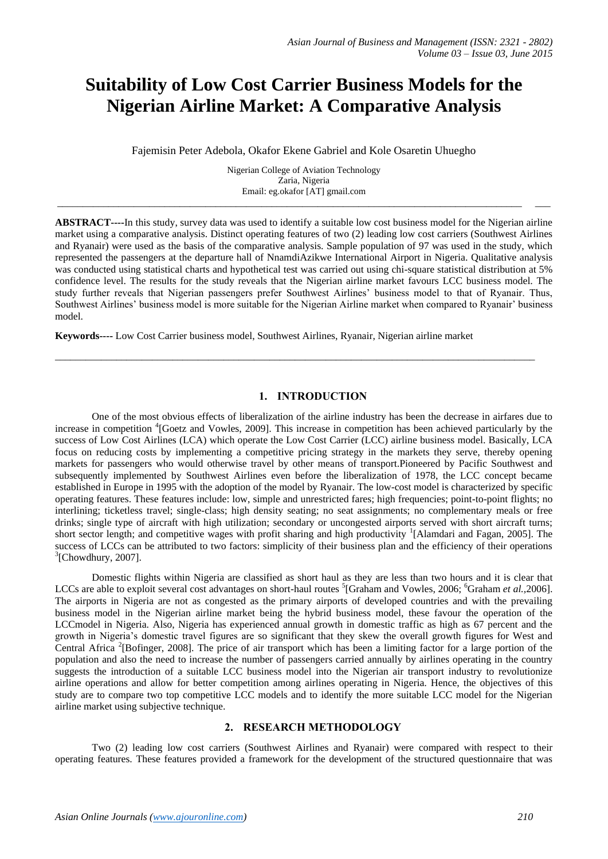# **Suitability of Low Cost Carrier Business Models for the Nigerian Airline Market: A Comparative Analysis**

Fajemisin Peter Adebola, Okafor Ekene Gabriel and Kole Osaretin Uhuegho

Nigerian College of Aviation Technology Zaria, Nigeria Email: eg.okafor [AT] gmail.com

\_\_\_\_\_\_\_\_\_\_\_\_\_\_\_\_\_\_\_\_\_\_\_\_\_\_\_\_\_\_\_\_\_\_\_\_\_\_\_\_\_\_\_\_\_\_\_\_\_\_\_\_\_\_\_\_\_\_\_\_\_\_\_\_\_\_\_\_\_\_\_\_\_\_\_\_\_\_\_\_\_\_\_\_\_\_\_\_\_\_\_ \_\_\_

**ABSTRACT----**In this study, survey data was used to identify a suitable low cost business model for the Nigerian airline market using a comparative analysis. Distinct operating features of two (2) leading low cost carriers (Southwest Airlines and Ryanair) were used as the basis of the comparative analysis. Sample population of 97 was used in the study, which represented the passengers at the departure hall of NnamdiAzikwe International Airport in Nigeria. Qualitative analysis was conducted using statistical charts and hypothetical test was carried out using chi-square statistical distribution at 5% confidence level. The results for the study reveals that the Nigerian airline market favours LCC business model. The study further reveals that Nigerian passengers prefer Southwest Airlines" business model to that of Ryanair. Thus, Southwest Airlines" business model is more suitable for the Nigerian Airline market when compared to Ryanair" business model.

**Keywords----** Low Cost Carrier business model, Southwest Airlines, Ryanair, Nigerian airline market

# **1. INTRODUCTION**

\_\_\_\_\_\_\_\_\_\_\_\_\_\_\_\_\_\_\_\_\_\_\_\_\_\_\_\_\_\_\_\_\_\_\_\_\_\_\_\_\_\_\_\_\_\_\_\_\_\_\_\_\_\_\_\_\_\_\_\_\_\_\_\_\_\_\_\_\_\_\_\_\_\_\_\_\_\_\_\_\_\_\_\_\_\_\_\_\_\_\_\_\_\_

One of the most obvious effects of liberalization of the airline industry has been the decrease in airfares due to increase in competition <sup>4</sup>[Goetz and Vowles, 2009]. This increase in competition has been achieved particularly by the success of Low Cost Airlines (LCA) which operate the Low Cost Carrier (LCC) airline business model. Basically, LCA focus on reducing costs by implementing a competitive pricing strategy in the markets they serve, thereby opening markets for passengers who would otherwise travel by other means of transport.Pioneered by Pacific Southwest and subsequently implemented by Southwest Airlines even before the liberalization of 1978, the LCC concept became established in Europe in 1995 with the adoption of the model by Ryanair. The low-cost model is characterized by specific operating features. These features include: low, simple and unrestricted fares; high frequencies; point-to-point flights; no interlining; ticketless travel; single-class; high density seating; no seat assignments; no complementary meals or free drinks; single type of aircraft with high utilization; secondary or uncongested airports served with short aircraft turns; short sector length; and competitive wages with profit sharing and high productivity <sup>1</sup>[Alamdari and Fagan, 2005]. The success of LCCs can be attributed to two factors: simplicity of their business plan and the efficiency of their operations  ${}^{3}$ [Chowdhury, 2007].

Domestic flights within Nigeria are classified as short haul as they are less than two hours and it is clear that LCCs are able to exploit several cost advantages on short-haul routes <sup>5</sup>[Graham and Vowles, 2006; <sup>6</sup>Graham *et al.*, 2006]. The airports in Nigeria are not as congested as the primary airports of developed countries and with the prevailing business model in the Nigerian airline market being the hybrid business model, these favour the operation of the LCCmodel in Nigeria. Also, Nigeria has experienced annual growth in domestic traffic as high as 67 percent and the growth in Nigeria"s domestic travel figures are so significant that they skew the overall growth figures for West and Central Africa<sup>2</sup> [Bofinger, 2008]. The price of air transport which has been a limiting factor for a large portion of the population and also the need to increase the number of passengers carried annually by airlines operating in the country suggests the introduction of a suitable LCC business model into the Nigerian air transport industry to revolutionize airline operations and allow for better competition among airlines operating in Nigeria. Hence, the objectives of this study are to compare two top competitive LCC models and to identify the more suitable LCC model for the Nigerian airline market using subjective technique.

# **2. RESEARCH METHODOLOGY**

Two (2) leading low cost carriers (Southwest Airlines and Ryanair) were compared with respect to their operating features. These features provided a framework for the development of the structured questionnaire that was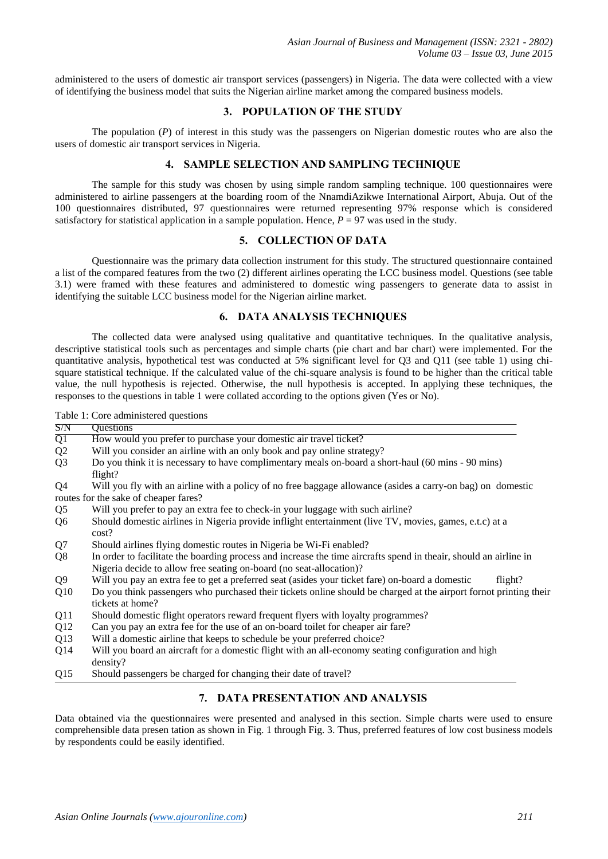administered to the users of domestic air transport services (passengers) in Nigeria. The data were collected with a view of identifying the business model that suits the Nigerian airline market among the compared business models.

#### **3. POPULATION OF THE STUDY**

The population (*P*) of interest in this study was the passengers on Nigerian domestic routes who are also the users of domestic air transport services in Nigeria.

## **4. SAMPLE SELECTION AND SAMPLING TECHNIQUE**

The sample for this study was chosen by using simple random sampling technique. 100 questionnaires were administered to airline passengers at the boarding room of the NnamdiAzikwe International Airport, Abuja. Out of the 100 questionnaires distributed, 97 questionnaires were returned representing 97% response which is considered satisfactory for statistical application in a sample population. Hence,  $P = 97$  was used in the study.

#### **5. COLLECTION OF DATA**

Questionnaire was the primary data collection instrument for this study. The structured questionnaire contained a list of the compared features from the two (2) different airlines operating the LCC business model. Questions (see table 3.1) were framed with these features and administered to domestic wing passengers to generate data to assist in identifying the suitable LCC business model for the Nigerian airline market.

#### **6. DATA ANALYSIS TECHNIQUES**

The collected data were analysed using qualitative and quantitative techniques. In the qualitative analysis, descriptive statistical tools such as percentages and simple charts (pie chart and bar chart) were implemented. For the quantitative analysis, hypothetical test was conducted at 5% significant level for Q3 and Q11 (see table 1) using chisquare statistical technique. If the calculated value of the chi-square analysis is found to be higher than the critical table value, the null hypothesis is rejected. Otherwise, the null hypothesis is accepted. In applying these techniques, the responses to the questions in table 1 were collated according to the options given (Yes or No).

Table 1: Core administered questions

| S/N             | Questions                                                                                                                                                                                |
|-----------------|------------------------------------------------------------------------------------------------------------------------------------------------------------------------------------------|
| $\overline{Q1}$ | How would you prefer to purchase your domestic air travel ticket?                                                                                                                        |
| Q <sub>2</sub>  | Will you consider an airline with an only book and pay online strategy?                                                                                                                  |
| Q <sub>3</sub>  | Do you think it is necessary to have complimentary meals on-board a short-haul (60 mins - 90 mins)<br>flight?                                                                            |
| Q4              | Will you fly with an airline with a policy of no free baggage allowance (asides a carry-on bag) on domestic                                                                              |
|                 | routes for the sake of cheaper fares?                                                                                                                                                    |
| Q <sub>5</sub>  | Will you prefer to pay an extra fee to check-in your luggage with such airline?                                                                                                          |
| Q <sub>6</sub>  | Should domestic airlines in Nigeria provide inflight entertainment (live TV, movies, games, e.t.c) at a<br>cost?                                                                         |
| Q7              | Should airlines flying domestic routes in Nigeria be Wi-Fi enabled?                                                                                                                      |
| Q <sub>8</sub>  | In order to facilitate the boarding process and increase the time aircrafts spend in theair, should an airline in<br>Nigeria decide to allow free seating on-board (no seat-allocation)? |
| Q <sub>9</sub>  | Will you pay an extra fee to get a preferred seat (asides your ticket fare) on-board a domestic<br>flight?                                                                               |
| Q10             | Do you think passengers who purchased their tickets online should be charged at the airport form ot printing their<br>tickets at home?                                                   |
| Q11             | Should domestic flight operators reward frequent flyers with loyalty programmes?                                                                                                         |
| Q12             | Can you pay an extra fee for the use of an on-board toilet for cheaper air fare?                                                                                                         |
| Q13             | Will a domestic airline that keeps to schedule be your preferred choice?                                                                                                                 |
| Q14             | Will you board an aircraft for a domestic flight with an all-economy seating configuration and high<br>density?                                                                          |
| Q15             | Should passengers be charged for changing their date of travel?                                                                                                                          |

Data obtained via the questionnaires were presented and analysed in this section. Simple charts were used to ensure comprehensible data presen tation as shown in Fig. 1 through Fig. 3. Thus, preferred features of low cost business models by respondents could be easily identified.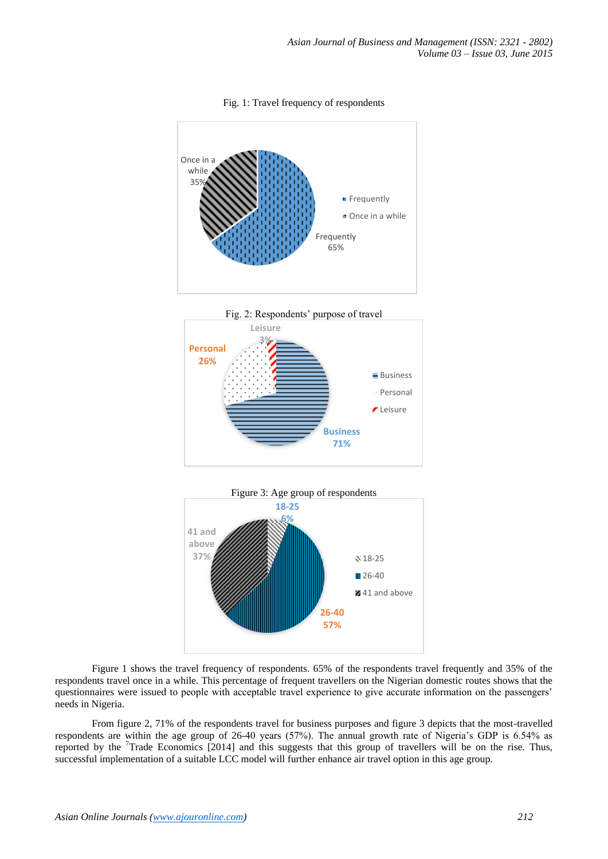

Fig. 1: Travel frequency of respondents





Figure 1 shows the travel frequency of respondents. 65% of the respondents travel frequently and 35% of the respondents travel once in a while. This percentage of frequent travellers on the Nigerian domestic routes shows that the questionnaires were issued to people with acceptable travel experience to give accurate information on the passengers" needs in Nigeria.

From figure 2, 71% of the respondents travel for business purposes and figure 3 depicts that the most-travelled respondents are within the age group of 26-40 years (57%). The annual growth rate of Nigeria"s GDP is 6.54% as reported by the <sup>7</sup>Trade Economics [2014] and this suggests that this group of travellers will be on the rise. Thus, successful implementation of a suitable LCC model will further enhance air travel option in this age group.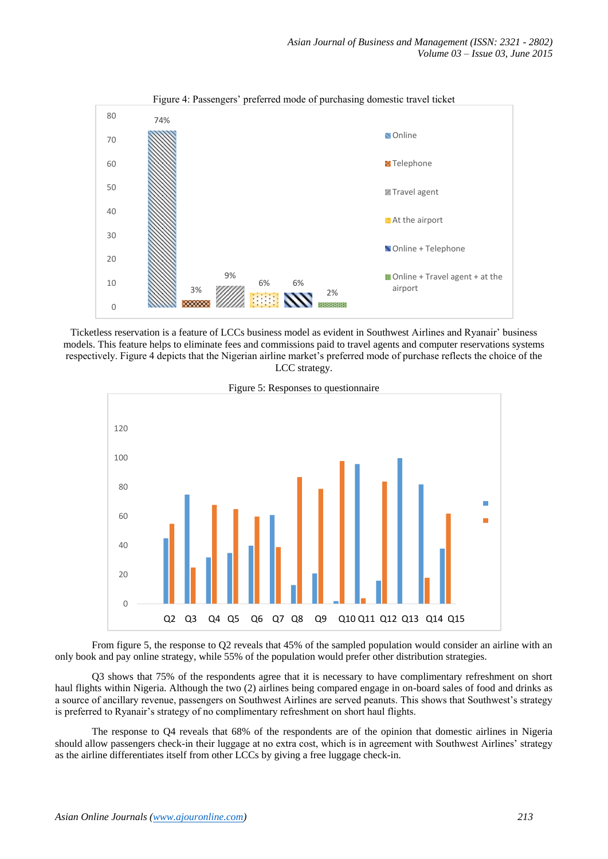

Ticketless reservation is a feature of LCCs business model as evident in Southwest Airlines and Ryanair" business models. This feature helps to eliminate fees and commissions paid to travel agents and computer reservations systems respectively. Figure 4 depicts that the Nigerian airline market"s preferred mode of purchase reflects the choice of the LCC strategy.



Figure 5: Responses to questionnaire

From figure 5, the response to Q2 reveals that 45% of the sampled population would consider an airline with an only book and pay online strategy, while 55% of the population would prefer other distribution strategies.

Q3 shows that 75% of the respondents agree that it is necessary to have complimentary refreshment on short haul flights within Nigeria. Although the two (2) airlines being compared engage in on-board sales of food and drinks as a source of ancillary revenue, passengers on Southwest Airlines are served peanuts. This shows that Southwest"s strategy is preferred to Ryanair"s strategy of no complimentary refreshment on short haul flights.

The response to Q4 reveals that 68% of the respondents are of the opinion that domestic airlines in Nigeria should allow passengers check-in their luggage at no extra cost, which is in agreement with Southwest Airlines" strategy as the airline differentiates itself from other LCCs by giving a free luggage check-in.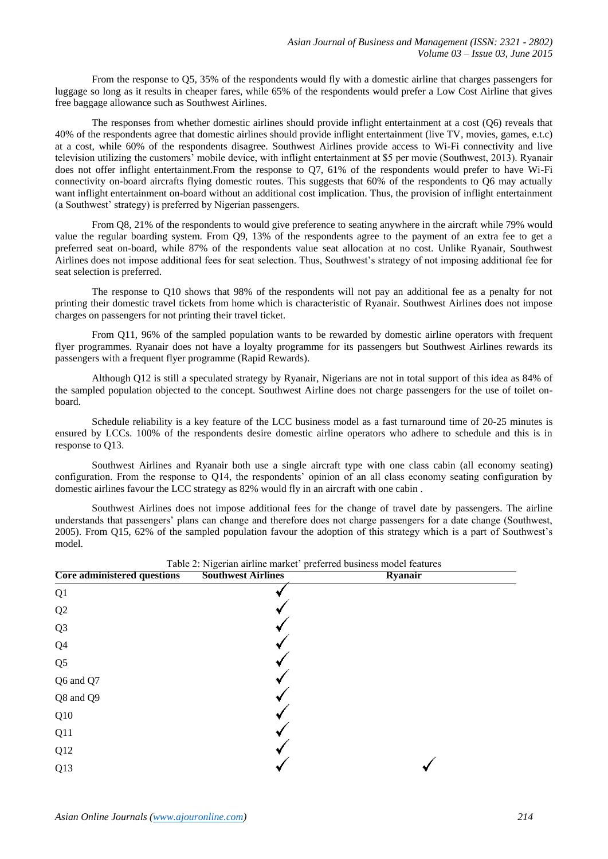From the response to Q5, 35% of the respondents would fly with a domestic airline that charges passengers for luggage so long as it results in cheaper fares, while 65% of the respondents would prefer a Low Cost Airline that gives free baggage allowance such as Southwest Airlines.

The responses from whether domestic airlines should provide inflight entertainment at a cost (Q6) reveals that 40% of the respondents agree that domestic airlines should provide inflight entertainment (live TV, movies, games, e.t.c) at a cost, while 60% of the respondents disagree. Southwest Airlines provide access to Wi-Fi connectivity and live television utilizing the customers" mobile device, with inflight entertainment at \$5 per movie (Southwest, 2013). Ryanair does not offer inflight entertainment.From the response to Q7, 61% of the respondents would prefer to have Wi-Fi connectivity on-board aircrafts flying domestic routes. This suggests that 60% of the respondents to Q6 may actually want inflight entertainment on-board without an additional cost implication. Thus, the provision of inflight entertainment (a Southwest" strategy) is preferred by Nigerian passengers.

From Q8, 21% of the respondents to would give preference to seating anywhere in the aircraft while 79% would value the regular boarding system. From Q9, 13% of the respondents agree to the payment of an extra fee to get a preferred seat on-board, while 87% of the respondents value seat allocation at no cost. Unlike Ryanair, Southwest Airlines does not impose additional fees for seat selection. Thus, Southwest"s strategy of not imposing additional fee for seat selection is preferred.

The response to Q10 shows that 98% of the respondents will not pay an additional fee as a penalty for not printing their domestic travel tickets from home which is characteristic of Ryanair. Southwest Airlines does not impose charges on passengers for not printing their travel ticket.

From Q11, 96% of the sampled population wants to be rewarded by domestic airline operators with frequent flyer programmes. Ryanair does not have a loyalty programme for its passengers but Southwest Airlines rewards its passengers with a frequent flyer programme (Rapid Rewards).

Although Q12 is still a speculated strategy by Ryanair, Nigerians are not in total support of this idea as 84% of the sampled population objected to the concept. Southwest Airline does not charge passengers for the use of toilet onboard.

Schedule reliability is a key feature of the LCC business model as a fast turnaround time of 20-25 minutes is ensured by LCCs. 100% of the respondents desire domestic airline operators who adhere to schedule and this is in response to Q13.

Southwest Airlines and Ryanair both use a single aircraft type with one class cabin (all economy seating) configuration. From the response to Q14, the respondents' opinion of an all class economy seating configuration by domestic airlines favour the LCC strategy as 82% would fly in an aircraft with one cabin .

Southwest Airlines does not impose additional fees for the change of travel date by passengers. The airline understands that passengers" plans can change and therefore does not charge passengers for a date change (Southwest, 2005). From Q15, 62% of the sampled population favour the adoption of this strategy which is a part of Southwest"s model.

| <b>Core administered questions</b> | <b>Southwest Airlines</b> | Ryanair |  |
|------------------------------------|---------------------------|---------|--|
| Q1                                 |                           |         |  |
| $\mathbf{Q}2$                      |                           |         |  |
| Q <sub>3</sub>                     |                           |         |  |
| Q <sub>4</sub>                     |                           |         |  |
| Q <sub>5</sub>                     |                           |         |  |
| Q6 and Q7                          |                           |         |  |
| Q8 and Q9                          |                           |         |  |
| Q10                                |                           |         |  |
| Q11                                |                           |         |  |
| Q12                                |                           |         |  |
| Q13                                |                           |         |  |

Table 2: Nigerian airline market" preferred business model features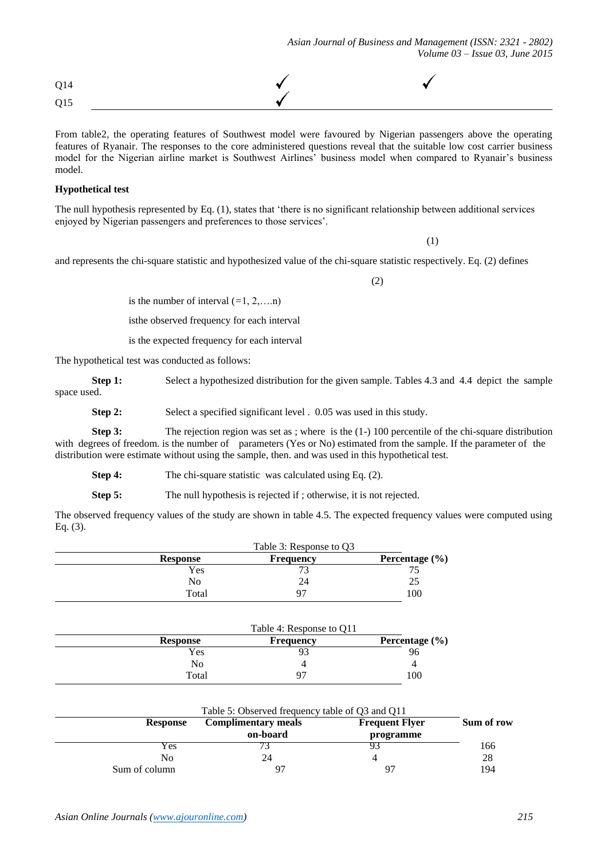| Q14 |  |
|-----|--|
| Q15 |  |

From table2, the operating features of Southwest model were favoured by Nigerian passengers above the operating features of Ryanair. The responses to the core administered questions reveal that the suitable low cost carrier business model for the Nigerian airline market is Southwest Airlines" business model when compared to Ryanair"s business model.

### **Hypothetical test**

The null hypothesis represented by Eq. (1), states that "there is no significant relationship between additional services enjoyed by Nigerian passengers and preferences to those services".

(1)

and represents the chi-square statistic and hypothesized value of the chi-square statistic respectively. Eq. (2) defines

(2)

is the number of interval  $(=1, 2, \ldots n)$ 

isthe observed frequency for each interval

is the expected frequency for each interval

The hypothetical test was conducted as follows:

**Step 1:** Select a hypothesized distribution for the given sample. Tables 4.3 and 4.4 depict the sample space used.

**Step 2:** Select a specified significant level . 0.05 was used in this study.

**Step 3:** The rejection region was set as ; where is the (1-) 100 percentile of the chi-square distribution with degrees of freedom, is the number of parameters (Yes or No) estimated from the sample. If the parameter of the distribution were estimate without using the sample, then. and was used in this hypothetical test.

**Step 4:** The chi-square statistic was calculated using Eq. (2).

**Step 5:** The null hypothesis is rejected if; otherwise, it is not rejected.

The observed frequency values of the study are shown in table 4.5. The expected frequency values were computed using Eq. (3).

|                 | Table 3: Response to O3 |                    |  |
|-----------------|-------------------------|--------------------|--|
| <b>Response</b> | <b>Frequency</b>        | Percentage $(\% )$ |  |
| Yes             |                         |                    |  |
| No              | 24                      |                    |  |
| Total           | 97                      | 100                |  |

|                 | Table 4: Response to Q11 |                    |  |
|-----------------|--------------------------|--------------------|--|
| <b>Response</b> | <b>Frequency</b>         | Percentage $(\% )$ |  |
| Yes             | 93                       | 96                 |  |
| No              |                          |                    |  |
| Total           | 97                       | 100                |  |

|                 | Table 5: Observed frequency table of Q3 and Q11 |                                    |            |  |
|-----------------|-------------------------------------------------|------------------------------------|------------|--|
| <b>Response</b> | <b>Complimentary meals</b><br>on-board          | <b>Frequent Flyer</b><br>programme | Sum of row |  |
| Y es            |                                                 |                                    | 166        |  |
| No              | 24                                              |                                    | 28         |  |
| Sum of column   | $Q^{\pi}$                                       | 97                                 | 194        |  |